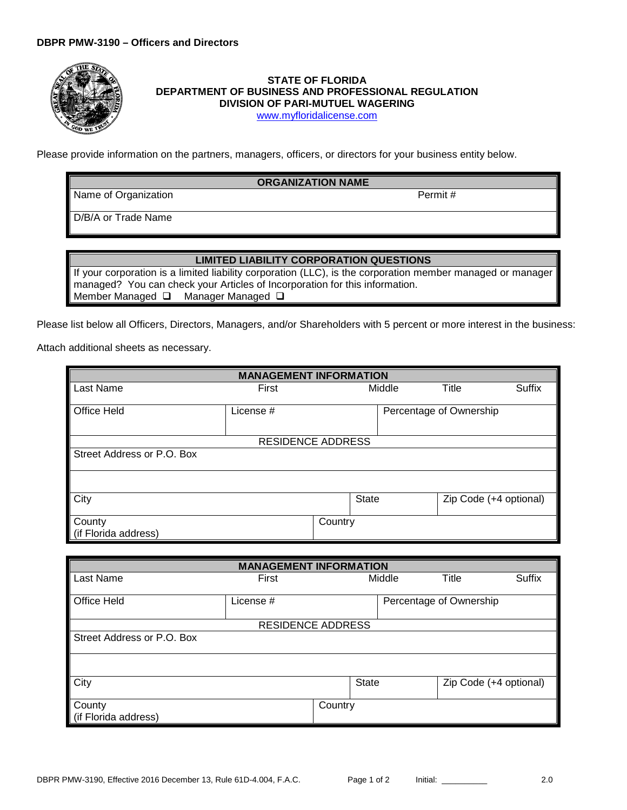

## **STATE OF FLORIDA DEPARTMENT OF BUSINESS AND PROFESSIONAL REGULATION DIVISION OF PARI-MUTUEL WAGERING**

[www.myfloridalicense.com](http://www.myfloridalicense.com/)

Please provide information on the partners, managers, officers, or directors for your business entity below.

## **ORGANIZATION NAME**

Name of Organization **Permit #** 

D/B/A or Trade Name

## **LIMITED LIABILITY CORPORATION QUESTIONS**

If your corporation is a limited liability corporation (LLC), is the corporation member managed or manager managed? You can check your Articles of Incorporation for this information. Member Managed Q Manager Managed Q

Please list below all Officers, Directors, Managers, and/or Shareholders with 5 percent or more interest in the business:

Attach additional sheets as necessary.

| <b>MANAGEMENT INFORMATION</b>  |           |         |              |        |                         |               |  |
|--------------------------------|-----------|---------|--------------|--------|-------------------------|---------------|--|
| Last Name                      | First     |         |              | Middle | Title                   | <b>Suffix</b> |  |
| <b>Office Held</b>             | License # |         |              |        | Percentage of Ownership |               |  |
| <b>RESIDENCE ADDRESS</b>       |           |         |              |        |                         |               |  |
| Street Address or P.O. Box     |           |         |              |        |                         |               |  |
|                                |           |         |              |        |                         |               |  |
| City                           |           |         | <b>State</b> |        | Zip Code (+4 optional)  |               |  |
| County<br>(if Florida address) |           | Country |              |        |                         |               |  |

| <b>MANAGEMENT INFORMATION</b> |                          |                         |              |        |                        |               |  |
|-------------------------------|--------------------------|-------------------------|--------------|--------|------------------------|---------------|--|
| Last Name                     | First                    |                         |              | Middle | Title                  | <b>Suffix</b> |  |
| Office Held                   | License #                | Percentage of Ownership |              |        |                        |               |  |
|                               | <b>RESIDENCE ADDRESS</b> |                         |              |        |                        |               |  |
| Street Address or P.O. Box    |                          |                         |              |        |                        |               |  |
|                               |                          |                         |              |        |                        |               |  |
| City                          |                          |                         | <b>State</b> |        | Zip Code (+4 optional) |               |  |
| County                        |                          | Country                 |              |        |                        |               |  |
| (if Florida address)          |                          |                         |              |        |                        |               |  |